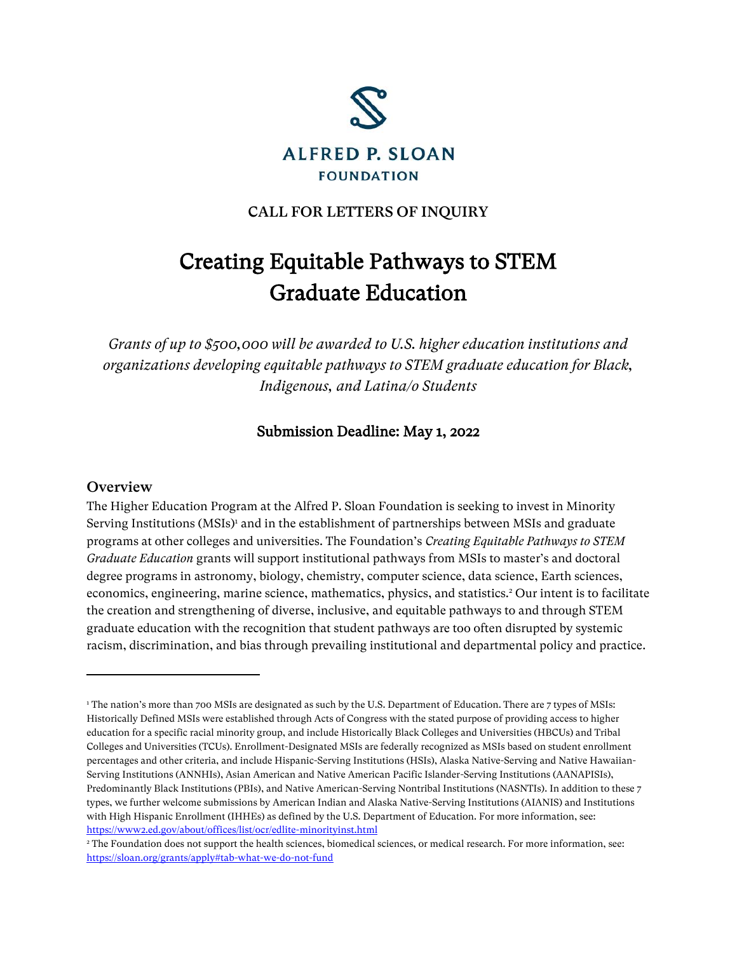

# CALL FOR LETTERS OF INQUIRY

# Creating Equitable Pathways to STEM Graduate Education

*Grants of up to \$500,000 will be awarded to U.S. higher education institutions and organizations developing equitable pathways to STEM graduate education for Black, Indigenous, and Latina/o Students*

### Submission Deadline: May 1, 2022

#### **Overview**

The Higher Education Program at the Alfred P. Sloan Foundation is seeking to invest in Minority Serving Institutions (MSIs)<sup>1</sup> and in the establishment of partnerships between MSIs and graduate programs at other colleges and universities. The Foundation's *Creating Equitable Pathways to STEM Graduate Education* grants will support institutional pathways from MSIs to master's and doctoral degree programs in astronomy, biology, chemistry, computer science, data science, Earth sciences, economics, engineering, marine science, mathematics, physics, and statistics. <sup>2</sup> Our intent is to facilitate the creation and strengthening of diverse, inclusive, and equitable pathways to and through STEM graduate education with the recognition that student pathways are too often disrupted by systemic racism, discrimination, and bias through prevailing institutional and departmental policy and practice.

<sup>&</sup>lt;sup>1</sup> The nation's more than 700 MSIs are designated as such by the U.S. Department of Education. There are 7 types of MSIs: Historically Defined MSIs were established through Acts of Congress with the stated purpose of providing access to higher education for a specific racial minority group, and include Historically Black Colleges and Universities (HBCUs) and Tribal Colleges and Universities (TCUs). Enrollment-Designated MSIs are federally recognized as MSIs based on student enrollment percentages and other criteria, and include Hispanic-Serving Institutions (HSIs), Alaska Native-Serving and Native Hawaiian-Serving Institutions (ANNHIs), Asian American and Native American Pacific Islander-Serving Institutions (AANAPISIs), Predominantly Black Institutions (PBIs), and Native American-Serving Nontribal Institutions (NASNTIs). In addition to these 7 types, we further welcome submissions by American Indian and Alaska Native-Serving Institutions (AIANIS) and Institutions with High Hispanic Enrollment (IHHEs) as defined by the U.S. Department of Education. For more information, see: <https://www2.ed.gov/about/offices/list/ocr/edlite-minorityinst.html>

<sup>&</sup>lt;sup>2</sup> The Foundation does not support the health sciences, biomedical sciences, or medical research. For more information, see: <https://sloan.org/grants/apply#tab-what-we-do-not-fund>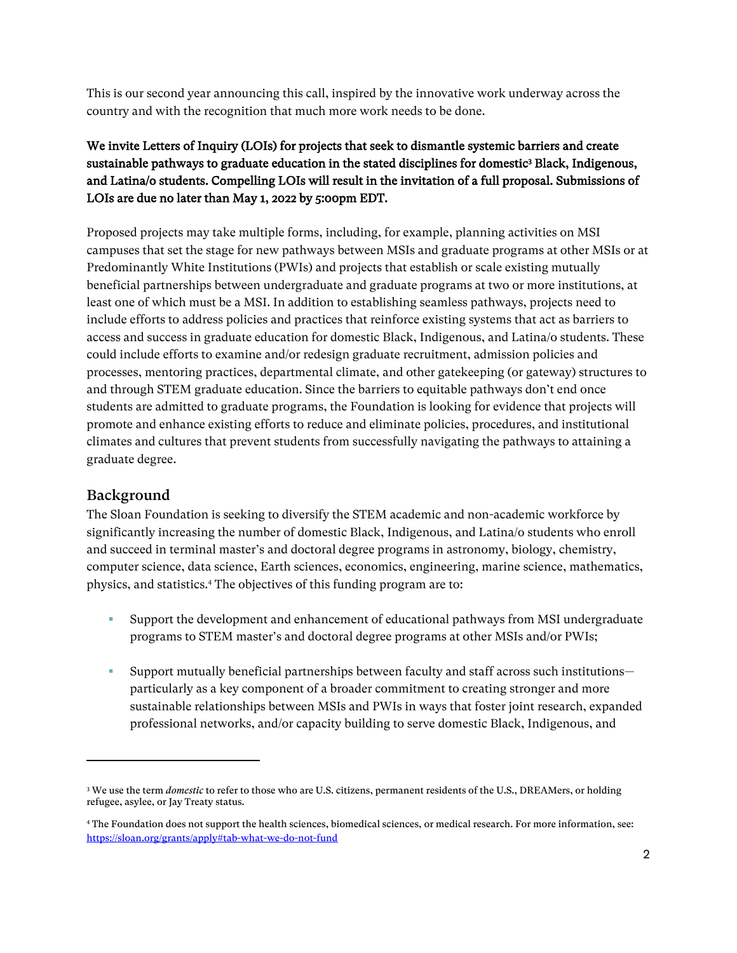This is our second year announcing this call, inspired by the innovative work underway across the country and with the recognition that much more work needs to be done.

# We invite Letters of Inquiry (LOIs) for projects that seek to dismantle systemic barriers and create sustainable pathways to graduate education in the stated disciplines for domestic $^3$  Black, Indigenous, and Latina/o students. Compelling LOIs will result in the invitation of a full proposal. Submissions of LOIs are due no later than May 1, 2022 by 5:00pm EDT.

Proposed projects may take multiple forms, including, for example, planning activities on MSI campuses that set the stage for new pathways between MSIs and graduate programs at other MSIs or at Predominantly White Institutions (PWIs) and projects that establish or scale existing mutually beneficial partnerships between undergraduate and graduate programs at two or more institutions, at least one of which must be a MSI. In addition to establishing seamless pathways, projects need to include efforts to address policies and practices that reinforce existing systems that act as barriers to access and success in graduate education for domestic Black, Indigenous, and Latina/o students. These could include efforts to examine and/or redesign graduate recruitment, admission policies and processes, mentoring practices, departmental climate, and other gatekeeping (or gateway) structures to and through STEM graduate education. Since the barriers to equitable pathways don't end once students are admitted to graduate programs, the Foundation is looking for evidence that projects will promote and enhance existing efforts to reduce and eliminate policies, procedures, and institutional climates and cultures that prevent students from successfully navigating the pathways to attaining a graduate degree.

# Background

The Sloan Foundation is seeking to diversify the STEM academic and non-academic workforce by significantly increasing the number of domestic Black, Indigenous, and Latina/o students who enroll and succeed in terminal master's and doctoral degree programs in astronomy, biology, chemistry, computer science, data science, Earth sciences, economics, engineering, marine science, mathematics, physics, and statistics.<sup>4</sup> The objectives of this funding program are to:

- Support the development and enhancement of educational pathways from MSI undergraduate programs to STEM master's and doctoral degree programs at other MSIs and/or PWIs;
- Support mutually beneficial partnerships between faculty and staff across such institutions particularly as a key component of a broader commitment to creating stronger and more sustainable relationships between MSIs and PWIs in ways that foster joint research, expanded professional networks, and/or capacity building to serve domestic Black, Indigenous, and

<sup>&</sup>lt;sup>3</sup> We use the term *domestic* to refer to those who are U.S. citizens, permanent residents of the U.S., DREAMers, or holding refugee, asylee, or Jay Treaty status.

<sup>4</sup> The Foundation does not support the health sciences, biomedical sciences, or medical research. For more information, see: <https://sloan.org/grants/apply#tab-what-we-do-not-fund>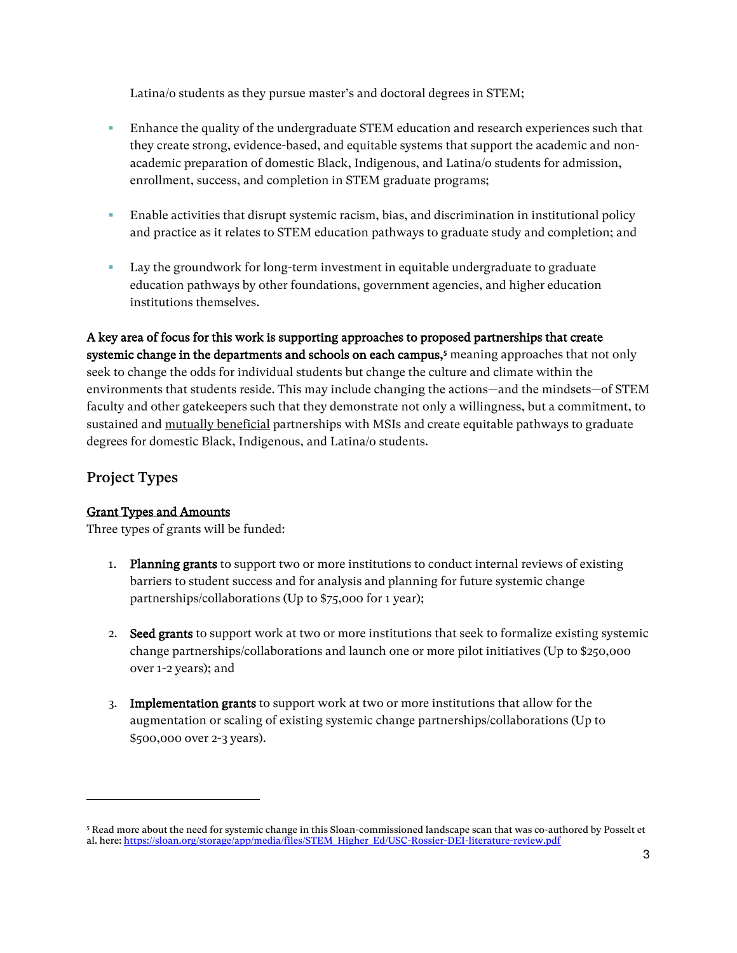Latina/o students as they pursue master's and doctoral degrees in STEM;

- **E** Enhance the quality of the undergraduate STEM education and research experiences such that they create strong, evidence-based, and equitable systems that support the academic and nonacademic preparation of domestic Black, Indigenous, and Latina/o students for admission, enrollment, success, and completion in STEM graduate programs;
- **Enable activities that disrupt systemic racism, bias, and discrimination in institutional policy** and practice as it relates to STEM education pathways to graduate study and completion; and
- Lay the groundwork for long-term investment in equitable undergraduate to graduate education pathways by other foundations, government agencies, and higher education institutions themselves.

A key area of focus for this work is supporting approaches to proposed partnerships that create systemic change in the departments and schools on each campus,<sup>5</sup> meaning approaches that not only seek to change the odds for individual students but change the culture and climate within the environments that students reside. This may include changing the actions—and the mindsets—of STEM faculty and other gatekeepers such that they demonstrate not only a willingness, but a commitment, to sustained and mutually beneficial partnerships with MSIs and create equitable pathways to graduate degrees for domestic Black, Indigenous, and Latina/o students.

# Project Types

#### Grant Types and Amounts

Three types of grants will be funded:

- 1. Planning grants to support two or more institutions to conduct internal reviews of existing barriers to student success and for analysis and planning for future systemic change partnerships/collaborations (Up to \$75,000 for 1 year);
- 2. Seed grants to support work at two or more institutions that seek to formalize existing systemic change partnerships/collaborations and launch one or more pilot initiatives (Up to \$250,000 over 1-2 years); and
- 3. Implementation grants to support work at two or more institutions that allow for the augmentation or scaling of existing systemic change partnerships/collaborations (Up to \$500,000 over 2-3 years).

<sup>5</sup> Read more about the need for systemic change in this Sloan-commissioned landscape scan that was co-authored by Posselt et al. here[: https://sloan.org/storage/app/media/files/STEM\\_Higher\\_Ed/USC-Rossier-DEI-literature-review.pdf](https://sloan.org/storage/app/media/files/STEM_Higher_Ed/USC-Rossier-DEI-literature-review.pdf)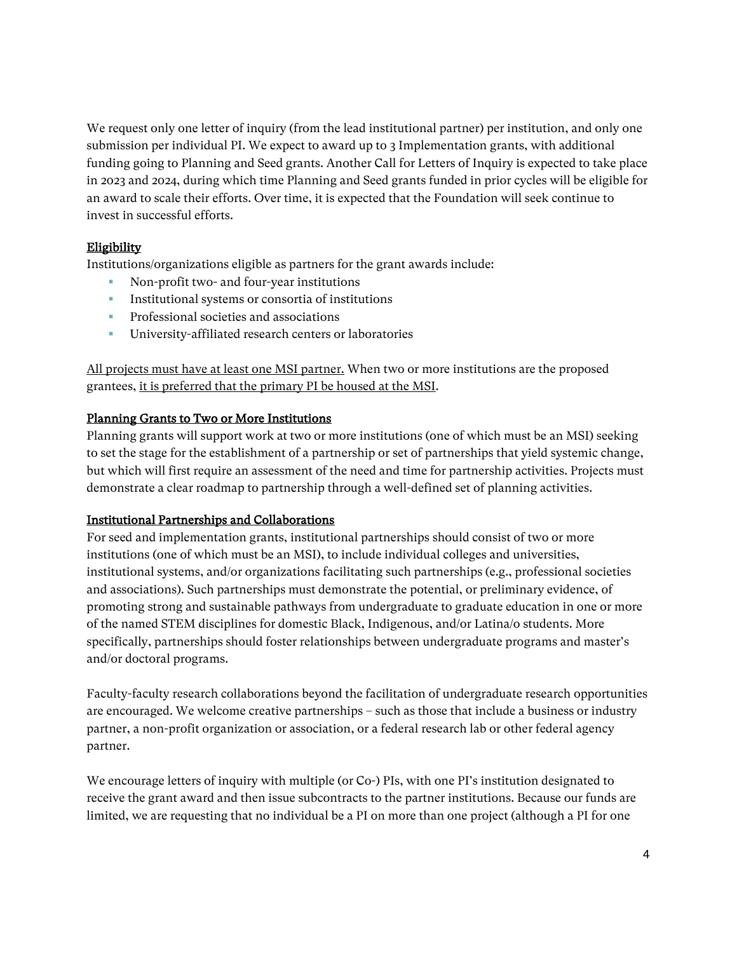We request only one letter of inquiry (from the lead institutional partner) per institution, and only one submission per individual PI. We expect to award up to 3 Implementation grants, with additional funding going to Planning and Seed grants. Another Call for Letters of Inquiry is expected to take place in 2023 and 2024, during which time Planning and Seed grants funded in prior cycles will be eligible for an award to scale their efforts. Over time, it is expected that the Foundation will seek continue to invest in successful efforts.

#### Eligibility

Institutions/organizations eligible as partners for the grant awards include:

- Non-profit two- and four-year institutions
- **EXECUTE:** Institutional systems or consortia of institutions
- **•** Professional societies and associations
- University-affiliated research centers or laboratories

All projects must have at least one MSI partner. When two or more institutions are the proposed grantees, it is preferred that the primary PI be housed at the MSI.

#### Planning Grants to Two or More Institutions

Planning grants will support work at two or more institutions (one of which must be an MSI) seeking to set the stage for the establishment of a partnership or set of partnerships that yield systemic change, but which will first require an assessment of the need and time for partnership activities. Projects must demonstrate a clear roadmap to partnership through a well-defined set of planning activities.

#### Institutional Partnerships and Collaborations

For seed and implementation grants, institutional partnerships should consist of two or more institutions (one of which must be an MSI), to include individual colleges and universities, institutional systems, and/or organizations facilitating such partnerships (e.g., professional societies and associations). Such partnerships must demonstrate the potential, or preliminary evidence, of promoting strong and sustainable pathways from undergraduate to graduate education in one or more of the named STEM disciplines for domestic Black, Indigenous, and/or Latina/o students. More specifically, partnerships should foster relationships between undergraduate programs and master's and/or doctoral programs.

Faculty-faculty research collaborations beyond the facilitation of undergraduate research opportunities are encouraged. We welcome creative partnerships – such as those that include a business or industry partner, a non-profit organization or association, or a federal research lab or other federal agency partner.

We encourage letters of inquiry with multiple (or Co-) PIs, with one PI's institution designated to receive the grant award and then issue subcontracts to the partner institutions. Because our funds are limited, we are requesting that no individual be a PI on more than one project (although a PI for one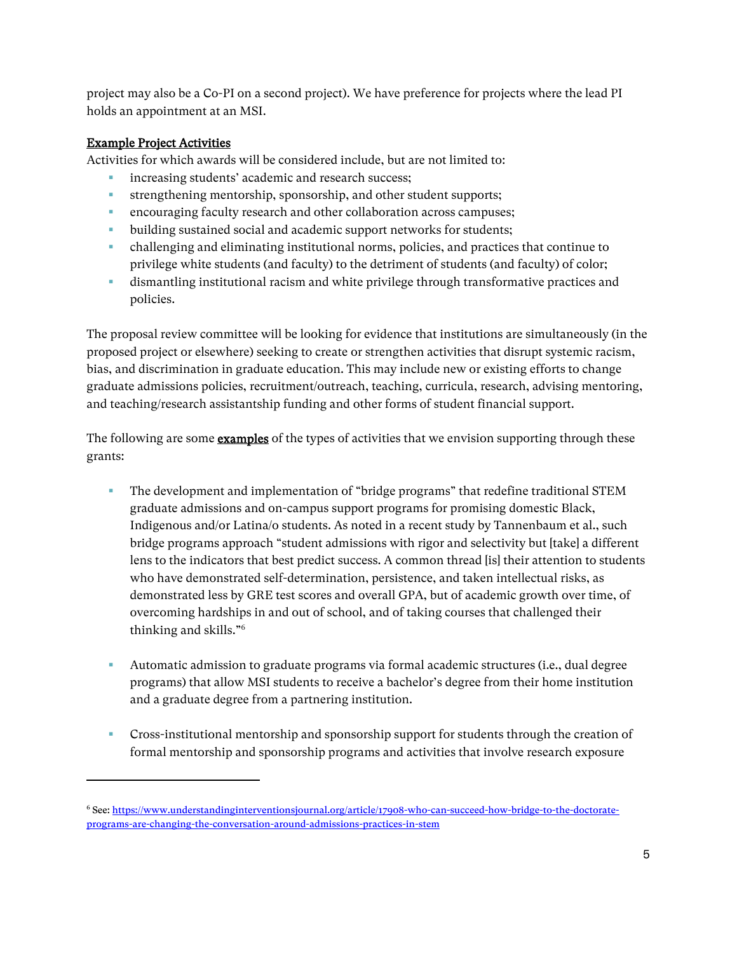project may also be a Co-PI on a second project). We have preference for projects where the lead PI holds an appointment at an MSI.

### Example Project Activities

Activities for which awards will be considered include, but are not limited to:

- increasing students' academic and research success;
- **•** strengthening mentorship, sponsorship, and other student supports;
- encouraging faculty research and other collaboration across campuses;
- building sustained social and academic support networks for students;
- challenging and eliminating institutional norms, policies, and practices that continue to privilege white students (and faculty) to the detriment of students (and faculty) of color;
- dismantling institutional racism and white privilege through transformative practices and policies.

The proposal review committee will be looking for evidence that institutions are simultaneously (in the proposed project or elsewhere) seeking to create or strengthen activities that disrupt systemic racism, bias, and discrimination in graduate education. This may include new or existing efforts to change graduate admissions policies, recruitment/outreach, teaching, curricula, research, advising mentoring, and teaching/research assistantship funding and other forms of student financial support.

The following are some **examples** of the types of activities that we envision supporting through these grants:

- **•** The development and implementation of "bridge programs" that redefine traditional STEM graduate admissions and on-campus support programs for promising domestic Black, Indigenous and/or Latina/o students. As noted in a recent study by Tannenbaum et al., such bridge programs approach "student admissions with rigor and selectivity but [take] a different lens to the indicators that best predict success. A common thread [is] their attention to students who have demonstrated self-determination, persistence, and taken intellectual risks, as demonstrated less by GRE test scores and overall GPA, but of academic growth over time, of overcoming hardships in and out of school, and of taking courses that challenged their thinking and skills."<sup>6</sup>
- Automatic admission to graduate programs via formal academic structures (i.e., dual degree programs) that allow MSI students to receive a bachelor's degree from their home institution and a graduate degree from a partnering institution.
- **Cross-institutional mentorship and sponsorship support for students through the creation of** formal mentorship and sponsorship programs and activities that involve research exposure

<sup>6</sup> See: [https://www.understandinginterventionsjournal.org/article/17908-who-can-succeed-how-bridge-to-the-doctorate](https://www.understandinginterventionsjournal.org/article/17908-who-can-succeed-how-bridge-to-the-doctorate-programs-are-changing-the-conversation-around-admissions-practices-in-stem)[programs-are-changing-the-conversation-around-admissions-practices-in-stem](https://www.understandinginterventionsjournal.org/article/17908-who-can-succeed-how-bridge-to-the-doctorate-programs-are-changing-the-conversation-around-admissions-practices-in-stem)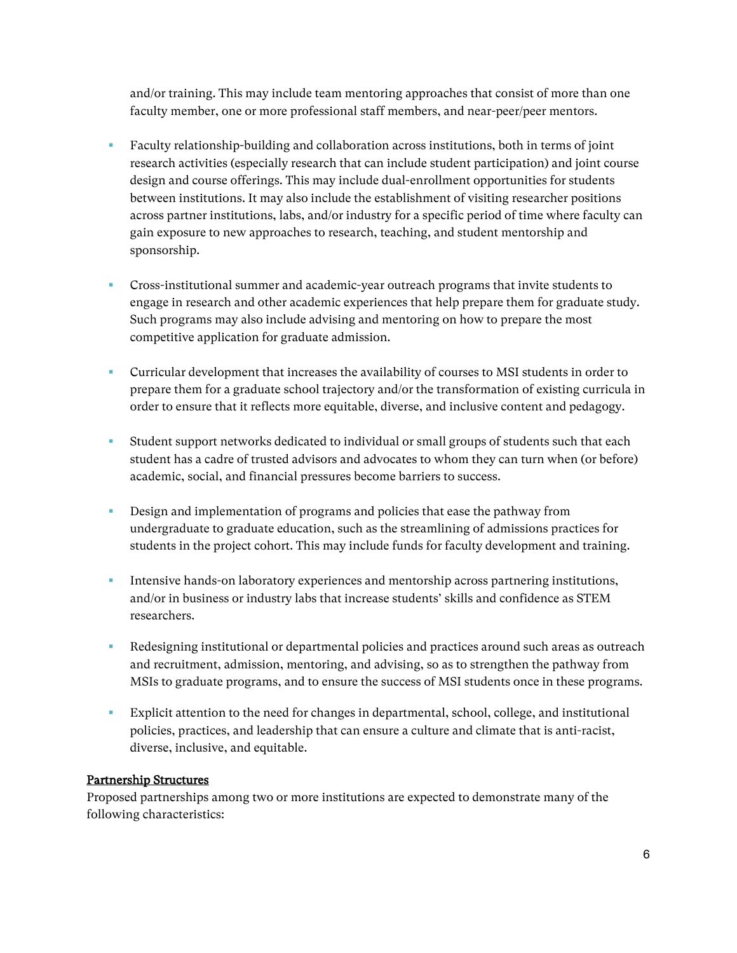and/or training. This may include team mentoring approaches that consist of more than one faculty member, one or more professional staff members, and near-peer/peer mentors.

- Faculty relationship-building and collaboration across institutions, both in terms of joint research activities (especially research that can include student participation) and joint course design and course offerings. This may include dual-enrollment opportunities for students between institutions. It may also include the establishment of visiting researcher positions across partner institutions, labs, and/or industry for a specific period of time where faculty can gain exposure to new approaches to research, teaching, and student mentorship and sponsorship.
- **•** Cross-institutional summer and academic-year outreach programs that invite students to engage in research and other academic experiences that help prepare them for graduate study. Such programs may also include advising and mentoring on how to prepare the most competitive application for graduate admission.
- **•** Curricular development that increases the availability of courses to MSI students in order to prepare them for a graduate school trajectory and/or the transformation of existing curricula in order to ensure that it reflects more equitable, diverse, and inclusive content and pedagogy.
- Student support networks dedicated to individual or small groups of students such that each student has a cadre of trusted advisors and advocates to whom they can turn when (or before) academic, social, and financial pressures become barriers to success.
- **EXECUTE:** Design and implementation of programs and policies that ease the pathway from undergraduate to graduate education, such as the streamlining of admissions practices for students in the project cohort. This may include funds for faculty development and training.
- **I.** Intensive hands-on laboratory experiences and mentorship across partnering institutions, and/or in business or industry labs that increase students' skills and confidence as STEM researchers.
- Redesigning institutional or departmental policies and practices around such areas as outreach and recruitment, admission, mentoring, and advising, so as to strengthen the pathway from MSIs to graduate programs, and to ensure the success of MSI students once in these programs.
- Explicit attention to the need for changes in departmental, school, college, and institutional policies, practices, and leadership that can ensure a culture and climate that is anti-racist, diverse, inclusive, and equitable.

#### Partnership Structures

Proposed partnerships among two or more institutions are expected to demonstrate many of the following characteristics: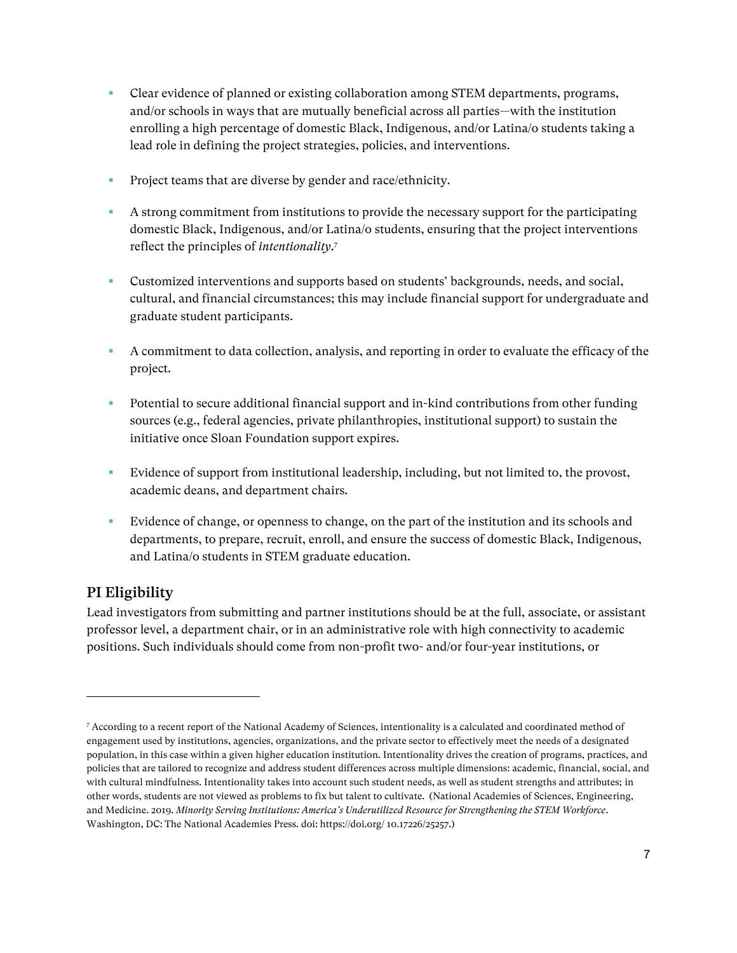- Clear evidence of planned or existing collaboration among STEM departments, programs, and/or schools in ways that are mutually beneficial across all parties—with the institution enrolling a high percentage of domestic Black, Indigenous, and/or Latina/o students taking a lead role in defining the project strategies, policies, and interventions.
- **•** Project teams that are diverse by gender and race/ethnicity.
- A strong commitment from institutions to provide the necessary support for the participating domestic Black, Indigenous, and/or Latina/o students, ensuring that the project interventions reflect the principles of *intentionality*. 7
- **•** Customized interventions and supports based on students' backgrounds, needs, and social, cultural, and financial circumstances; this may include financial support for undergraduate and graduate student participants.
- A commitment to data collection, analysis, and reporting in order to evaluate the efficacy of the project.
- Potential to secure additional financial support and in-kind contributions from other funding sources (e.g., federal agencies, private philanthropies, institutional support) to sustain the initiative once Sloan Foundation support expires.
- Evidence of support from institutional leadership, including, but not limited to, the provost, academic deans, and department chairs.
- Evidence of change, or openness to change, on the part of the institution and its schools and departments, to prepare, recruit, enroll, and ensure the success of domestic Black, Indigenous, and Latina/o students in STEM graduate education.

# PI Eligibility

Lead investigators from submitting and partner institutions should be at the full, associate, or assistant professor level, a department chair, or in an administrative role with high connectivity to academic positions. Such individuals should come from non-profit two- and/or four-year institutions, or

<sup>7</sup> According to a recent report of the National Academy of Sciences, intentionality is a calculated and coordinated method of engagement used by institutions, agencies, organizations, and the private sector to effectively meet the needs of a designated population, in this case within a given higher education institution. Intentionality drives the creation of programs, practices, and policies that are tailored to recognize and address student differences across multiple dimensions: academic, financial, social, and with cultural mindfulness. Intentionality takes into account such student needs, as well as student strengths and attributes; in other words, students are not viewed as problems to fix but talent to cultivate. (National Academies of Sciences, Engineering, and Medicine. 2019. *Minority Serving Institutions: America's Underutilized Resource for Strengthening the STEM Workforce*. Washington, DC: The National Academies Press. doi: https://doi.org/ 10.17226/25257.)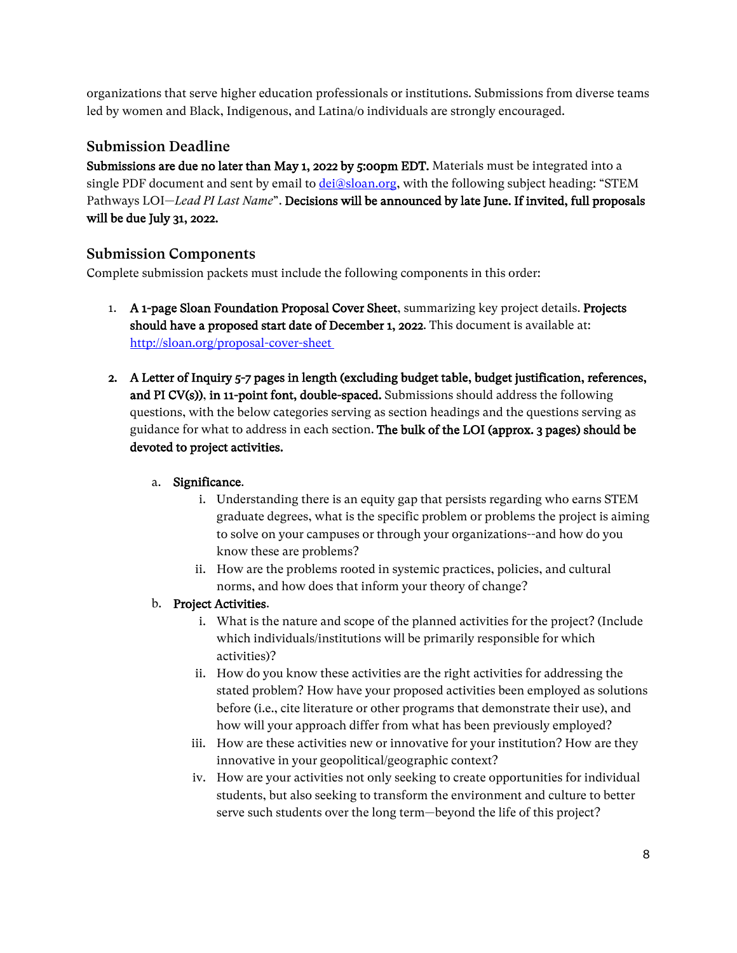organizations that serve higher education professionals or institutions. Submissions from diverse teams led by women and Black, Indigenous, and Latina/o individuals are strongly encouraged.

# Submission Deadline

Submissions are due no later than May 1, 2022 by 5:00pm EDT. Materials must be integrated into a single PDF document and sent by email to [dei@sloan.org,](mailto:dei@sloan.org) with the following subject heading: "STEM Pathways LOI—*Lead PI Last Name*". Decisions will be announced by late June. If invited, full proposals will be due July 31, 2022.

# Submission Components

Complete submission packets must include the following components in this order:

- 1. A 1-page Sloan Foundation Proposal Cover Sheet, summarizing key project details. Projects should have a proposed start date of December 1, 2022. This document is available at: <http://sloan.org/proposal-cover-sheet>
- 2. A Letter of Inquiry 5-7 pages in length (excluding budget table, budget justification, references, and PI CV(s)), in 11-point font, double-spaced. Submissions should address the following questions, with the below categories serving as section headings and the questions serving as guidance for what to address in each section. The bulk of the LOI (approx. 3 pages) should be devoted to project activities.

# a. Significance.

- i. Understanding there is an equity gap that persists regarding who earns STEM graduate degrees, what is the specific problem or problems the project is aiming to solve on your campuses or through your organizations--and how do you know these are problems?
- ii. How are the problems rooted in systemic practices, policies, and cultural norms, and how does that inform your theory of change?

# b. Project Activities.

- i. What is the nature and scope of the planned activities for the project? (Include which individuals/institutions will be primarily responsible for which activities)?
- ii. How do you know these activities are the right activities for addressing the stated problem? How have your proposed activities been employed as solutions before (i.e., cite literature or other programs that demonstrate their use), and how will your approach differ from what has been previously employed?
- iii. How are these activities new or innovative for your institution? How are they innovative in your geopolitical/geographic context?
- iv. How are your activities not only seeking to create opportunities for individual students, but also seeking to transform the environment and culture to better serve such students over the long term—beyond the life of this project?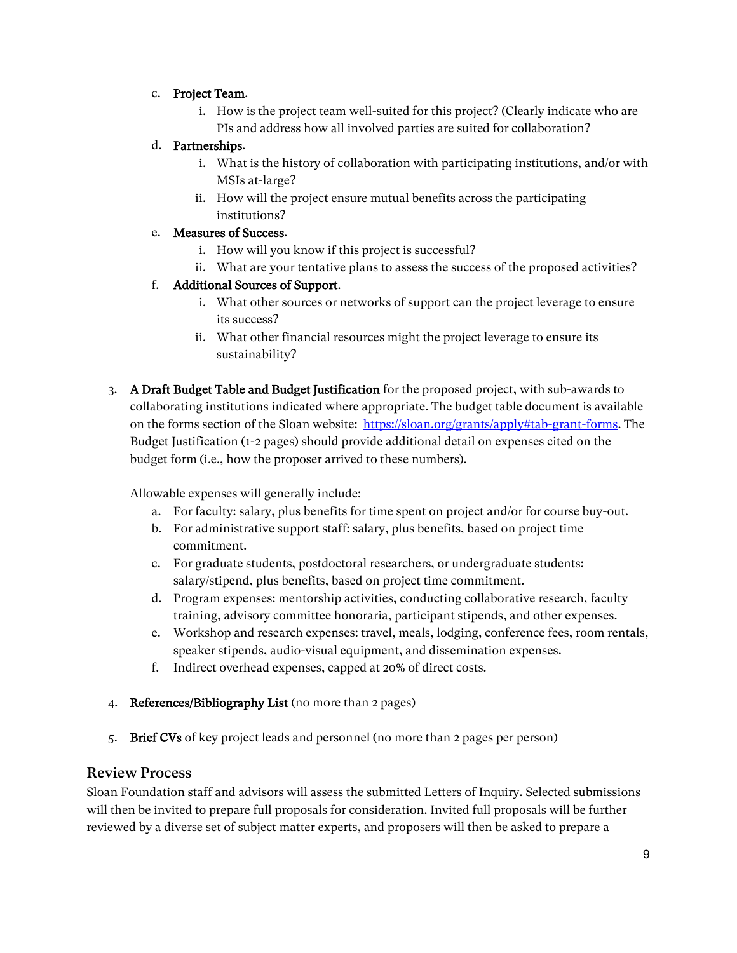# c. Project Team.

i. How is the project team well-suited for this project? (Clearly indicate who are PIs and address how all involved parties are suited for collaboration?

### d. Partnerships.

- i. What is the history of collaboration with participating institutions, and/or with MSIs at-large?
- ii. How will the project ensure mutual benefits across the participating institutions?

### e. Measures of Success.

- i. How will you know if this project is successful?
- ii. What are your tentative plans to assess the success of the proposed activities?

### f. Additional Sources of Support.

- i. What other sources or networks of support can the project leverage to ensure its success?
- ii. What other financial resources might the project leverage to ensure its sustainability?
- 3. A Draft Budget Table and Budget Justification for the proposed project, with sub-awards to collaborating institutions indicated where appropriate. The budget table document is available on the forms section of the Sloan website: [https://sloan.org/grants/apply#tab-grant-forms.](https://sloan.org/grants/apply#tab-grant-forms) The Budget Justification (1-2 pages) should provide additional detail on expenses cited on the budget form (i.e., how the proposer arrived to these numbers).

Allowable expenses will generally include:

- a. For faculty: salary, plus benefits for time spent on project and/or for course buy-out.
- b. For administrative support staff: salary, plus benefits, based on project time commitment.
- c. For graduate students, postdoctoral researchers, or undergraduate students: salary/stipend, plus benefits, based on project time commitment.
- d. Program expenses: mentorship activities, conducting collaborative research, faculty training, advisory committee honoraria, participant stipends, and other expenses.
- e. Workshop and research expenses: travel, meals, lodging, conference fees, room rentals, speaker stipends, audio-visual equipment, and dissemination expenses.
- f. Indirect overhead expenses, capped at 20% of direct costs.
- 4. References/Bibliography List (no more than 2 pages)
- 5. Brief CVs of key project leads and personnel (no more than 2 pages per person)

# Review Process

Sloan Foundation staff and advisors will assess the submitted Letters of Inquiry. Selected submissions will then be invited to prepare full proposals for consideration. Invited full proposals will be further reviewed by a diverse set of subject matter experts, and proposers will then be asked to prepare a